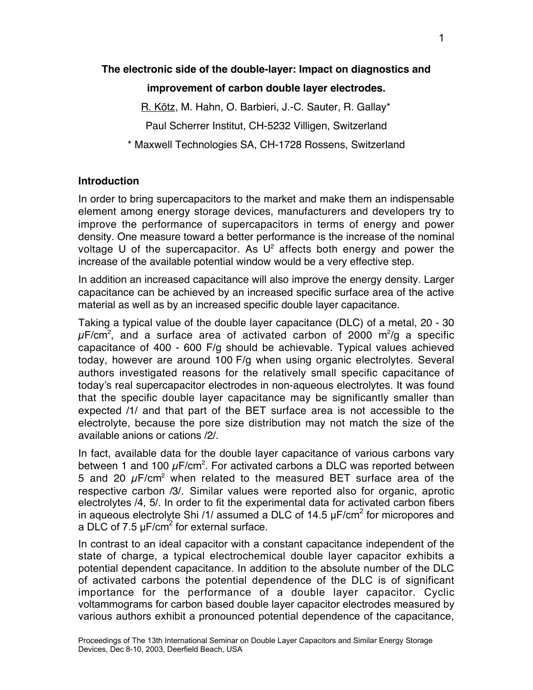# **The electronic side of the double-layer: Impact on diagnostics and**

## **improvement of carbon double layer electrodes.**

R. Kötz, M. Hahn, O. Barbieri, J.-C. Sauter, R. Gallay\*

Paul Scherrer Institut, CH-5232 Villigen, Switzerland

\* Maxwell Technologies SA, CH-1728 Rossens, Switzerland

# **Introduction**

In order to bring supercapacitors to the market and make them an indispensable element among energy storage devices, manufacturers and developers try to improve the performance of supercapacitors in terms of energy and power density. One measure toward a better performance is the increase of the nominal voltage U of the supercapacitor. As  $U^2$  affects both energy and power the increase of the available potential window would be a very effective step.

In addition an increased capacitance will also improve the energy density. Larger capacitance can be achieved by an increased specific surface area of the active material as well as by an increased specific double layer capacitance.

Taking a typical value of the double layer capacitance (DLC) of a metal, 20 - 30  $\mu$ F/cm $^2$ , and a surface area of activated carbon of 2000 m $^2$ /g a specific capacitance of 400 - 600 F/g should be achievable. Typical values achieved today, however are around 100 F/g when using organic electrolytes. Several authors investigated reasons for the relatively small specific capacitance of today's real supercapacitor electrodes in non-aqueous electrolytes. It was found that the specific double layer capacitance may be significantly smaller than expected /1/ and that part of the BET surface area is not accessible to the electrolyte, because the pore size distribution may not match the size of the available anions or cations /2/.

In fact, available data for the double layer capacitance of various carbons vary between 1 and 100  $\mu$ F/cm<sup>2</sup>. For activated carbons a DLC was reported between 5 and 20  $\mu$ F/cm<sup>2</sup> when related to the measured BET surface area of the respective carbon /3/. Similar values were reported also for organic, aprotic electrolytes /4, 5/. In order to fit the experimental data for activated carbon fibers in aqueous electrolyte Shi /1/ assumed a DLC of 14.5  $\mu$ F/cm<sup>2</sup> for micropores and a DLC of 7.5  $\mu$ F/cm<sup>2</sup> for external surface.

In contrast to an ideal capacitor with a constant capacitance independent of the state of charge, a typical electrochemical double layer capacitor exhibits a potential dependent capacitance. In addition to the absolute number of the DLC of activated carbons the potential dependence of the DLC is of significant importance for the performance of a double layer capacitor. Cyclic voltammograms for carbon based double layer capacitor electrodes measured by various authors exhibit a pronounced potential dependence of the capacitance,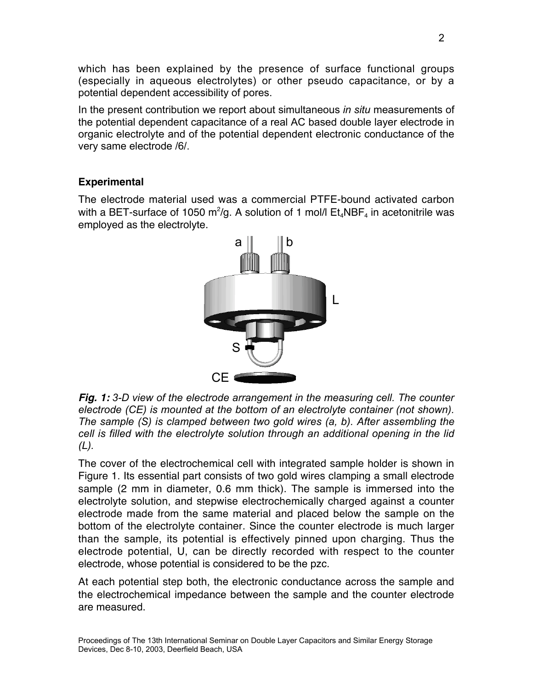which has been explained by the presence of surface functional groups (especially in aqueous electrolytes) or other pseudo capacitance, or by a potential dependent accessibility of pores.

In the present contribution we report about simultaneous *in situ* measurements of the potential dependent capacitance of a real AC based double layer electrode in organic electrolyte and of the potential dependent electronic conductance of the very same electrode /6/.

# **Experimental**

The electrode material used was a commercial PTFE-bound activated carbon with a BET-surface of 1050 m<sup>2</sup>/g. A solution of 1 mol/l  $\mathsf{Et}_4\mathsf{NBF}_4$  in acetonitrile was employed as the electrolyte.



**Fig. 1:** *3-D view of the electrode arrangement in the measuring cell. The counter electrode (CE) is mounted at the bottom of an electrolyte container (not shown). The sample (S) is clamped between two gold wires (a, b). After assembling the cell is filled with the electrolyte solution through an additional opening in the lid (L).*

The cover of the electrochemical cell with integrated sample holder is shown in Figure 1. Its essential part consists of two gold wires clamping a small electrode sample (2 mm in diameter, 0.6 mm thick). The sample is immersed into the electrolyte solution, and stepwise electrochemically charged against a counter electrode made from the same material and placed below the sample on the bottom of the electrolyte container. Since the counter electrode is much larger than the sample, its potential is effectively pinned upon charging. Thus the electrode potential, U, can be directly recorded with respect to the counter electrode, whose potential is considered to be the pzc.

At each potential step both, the electronic conductance across the sample and the electrochemical impedance between the sample and the counter electrode are measured.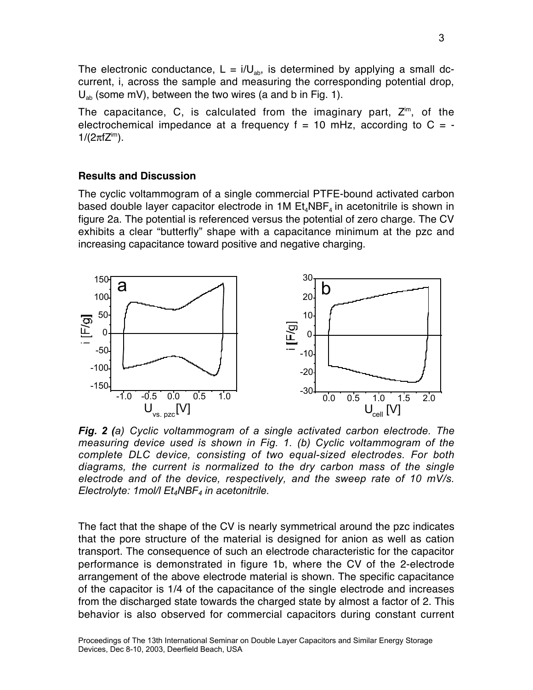The electronic conductance,  $L = i/U_{ab}$ , is determined by applying a small dccurrent, i, across the sample and measuring the corresponding potential drop,  $U_{ab}$  (some mV), between the two wires (a and b in Fig. 1).

The capacitance, C, is calculated from the imaginary part,  $Z^{im}$ , of the electrochemical impedance at a frequency  $f = 10$  mHz, according to  $C = 1/(2\pi fZ^{im})$ .

### **Results and Discussion**

The cyclic voltammogram of a single commercial PTFE-bound activated carbon based double layer capacitor electrode in 1M  $Et_4NBF_4$  in acetonitrile is shown in figure 2a. The potential is referenced versus the potential of zero charge. The CV exhibits a clear "butterfly" shape with a capacitance minimum at the pzc and increasing capacitance toward positive and negative charging.



*Fig. 2 (a) Cyclic voltammogram of a single activated carbon electrode. The measuring device used is shown in Fig. 1. (b) Cyclic voltammogram of the complete DLC device, consisting of two equal-sized electrodes. For both diagrams, the current is normalized to the dry carbon mass of the single electrode and of the device, respectively, and the sweep rate of 10 mV/s. Electrolyte: 1mol/l Et4NBF4 in acetonitrile.*

The fact that the shape of the CV is nearly symmetrical around the pzc indicates that the pore structure of the material is designed for anion as well as cation transport. The consequence of such an electrode characteristic for the capacitor performance is demonstrated in figure 1b, where the CV of the 2-electrode arrangement of the above electrode material is shown. The specific capacitance of the capacitor is 1/4 of the capacitance of the single electrode and increases from the discharged state towards the charged state by almost a factor of 2. This behavior is also observed for commercial capacitors during constant current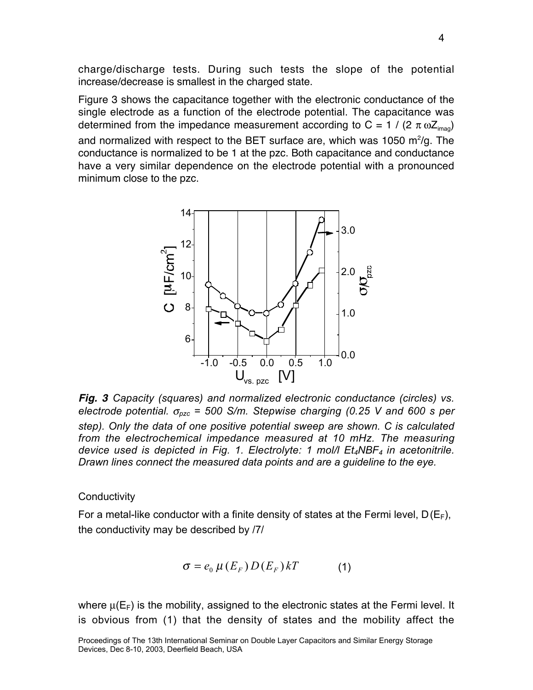charge/discharge tests. During such tests the slope of the potential increase/decrease is smallest in the charged state.

Figure 3 shows the capacitance together with the electronic conductance of the single electrode as a function of the electrode potential. The capacitance was determined from the impedance measurement according to C = 1 / (2  $\pi$  w Z<sub>imag</sub>) and normalized with respect to the BET surface are, which was 1050  $\mathrm{m}^2/\mathrm{g}$ . The conductance is normalized to be 1 at the pzc. Both capacitance and conductance have a very similar dependence on the electrode potential with a pronounced minimum close to the pzc.



**Fig. 3** *Capacity (squares) and normalized electronic conductance (circles) vs. electrode potential.*  $\sigma_{pzc}$  = 500 S/m. Stepwise charging (0.25 V and 600 s per *step). Only the data of one positive potential sweep are shown. C is calculated from the electrochemical impedance measured at 10 mHz. The measuring device used is depicted in Fig. 1. Electrolyte: 1 mol/l Et4NBF4 in acetonitrile. Drawn lines connect the measured data points and are a guideline to the eye.*

#### **Conductivity**

For a metal-like conductor with a finite density of states at the Fermi level,  $D(E_F)$ , the conductivity may be described by /7/

$$
\sigma = e_0 \mu(E_F) D(E_F) kT \tag{1}
$$

where  $\mu(E_F)$  is the mobility, assigned to the electronic states at the Fermi level. It is obvious from (1) that the density of states and the mobility affect the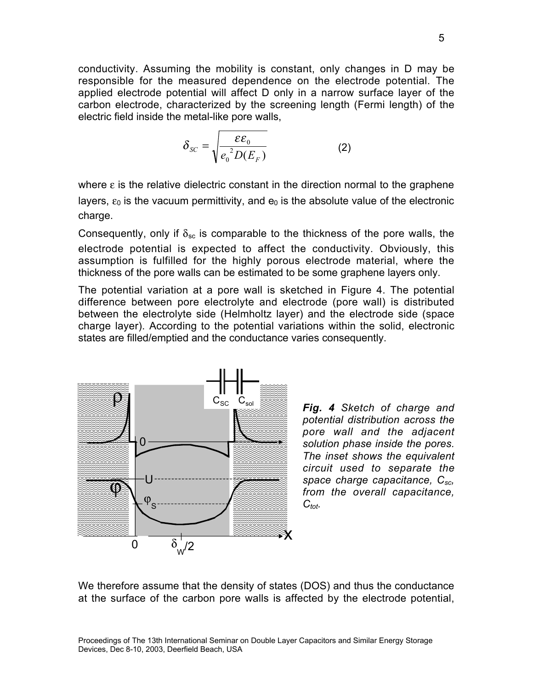conductivity. Assuming the mobility is constant, only changes in D may be responsible for the measured dependence on the electrode potential. The applied electrode potential will affect D only in a narrow surface layer of the carbon electrode, characterized by the screening length (Fermi length) of the electric field inside the metal-like pore walls,

$$
\delta_{SC} = \sqrt{\frac{\varepsilon \varepsilon_0}{e_0^2 D(E_F)}}\tag{2}
$$

where  $\epsilon$  is the relative dielectric constant in the direction normal to the graphene layers,  $\varepsilon_0$  is the vacuum permittivity, and  $e_0$  is the absolute value of the electronic charge.

Consequently, only if  $\delta_{\rm sc}$  is comparable to the thickness of the pore walls, the electrode potential is expected to affect the conductivity. Obviously, this assumption is fulfilled for the highly porous electrode material, where the thickness of the pore walls can be estimated to be some graphene layers only.

The potential variation at a pore wall is sketched in Figure 4. The potential difference between pore electrolyte and electrode (pore wall) is distributed between the electrolyte side (Helmholtz layer) and the electrode side (space charge layer). According to the potential variations within the solid, electronic states are filled/emptied and the conductance varies consequently.



CSC Csol *Fig. 4 Sketch of charge and potential distribution across the pore wall and the adjacent solution phase inside the pores. The inset shows the equivalent circuit used to separate the space charge capacitance, Csc, from the overall capacitance,*  $C_{tot.}$ 

We therefore assume that the density of states (DOS) and thus the conductance at the surface of the carbon pore walls is affected by the electrode potential,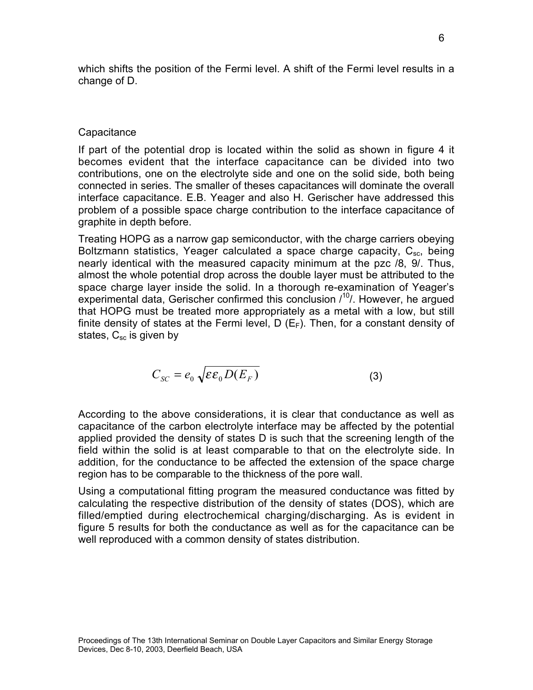which shifts the position of the Fermi level. A shift of the Fermi level results in a change of D.

### **Capacitance**

If part of the potential drop is located within the solid as shown in figure 4 it becomes evident that the interface capacitance can be divided into two contributions, one on the electrolyte side and one on the solid side, both being connected in series. The smaller of theses capacitances will dominate the overall interface capacitance. E.B. Yeager and also H. Gerischer have addressed this problem of a possible space charge contribution to the interface capacitance of graphite in depth before.

Treating HOPG as a narrow gap semiconductor, with the charge carriers obeying Boltzmann statistics, Yeager calculated a space charge capacity,  $C_{\rm sc}$ , being nearly identical with the measured capacity minimum at the pzc /8, 9/. Thus, almost the whole potential drop across the double layer must be attributed to the space charge layer inside the solid. In a thorough re-examination of Yeager's experimental data, Gerischer confirmed this conclusion /<sup>10</sup>/. However, he argued that HOPG must be treated more appropriately as a metal with a low, but still finite density of states at the Fermi level,  $D(E_F)$ . Then, for a constant density of states,  $C_{\rm sc}$  is given by

$$
C_{SC} = e_0 \sqrt{\varepsilon \varepsilon_0 D(E_F)}
$$
 (3)

According to the above considerations, it is clear that conductance as well as capacitance of the carbon electrolyte interface may be affected by the potential applied provided the density of states D is such that the screening length of the field within the solid is at least comparable to that on the electrolyte side. In addition, for the conductance to be affected the extension of the space charge region has to be comparable to the thickness of the pore wall.

Using a computational fitting program the measured conductance was fitted by calculating the respective distribution of the density of states (DOS), which are filled/emptied during electrochemical charging/discharging. As is evident in figure 5 results for both the conductance as well as for the capacitance can be well reproduced with a common density of states distribution.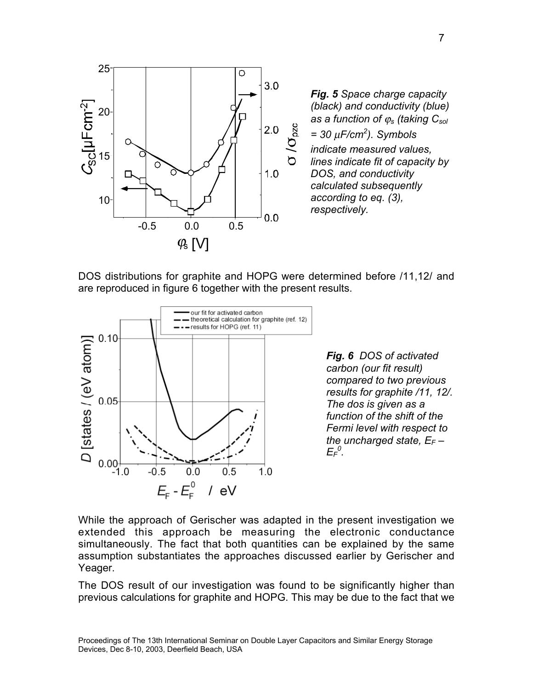

*Fig. 5 Space charge capacity (black) and conductivity (blue) as a function of* j*s (taking Csol = 30* m*F/cm2 ). Symbols indicate measured values, lines indicate fit of capacity by DOS, and conductivity calculated subsequently according to eq. (3), respectively.*

DOS distributions for graphite and HOPG were determined before /11,12/ and are reproduced in figure 6 together with the present results.



*Fig. 6 DOS of activated carbon (our fit result) compared to two previous results for graphite /11, 12/. The dos is given as a function of the shift of the Fermi level with respect to the uncharged state, EF – EF 0 .*

While the approach of Gerischer was adapted in the present investigation we extended this approach be measuring the electronic conductance simultaneously. The fact that both quantities can be explained by the same assumption substantiates the approaches discussed earlier by Gerischer and Yeager.

The DOS result of our investigation was found to be significantly higher than previous calculations for graphite and HOPG. This may be due to the fact that we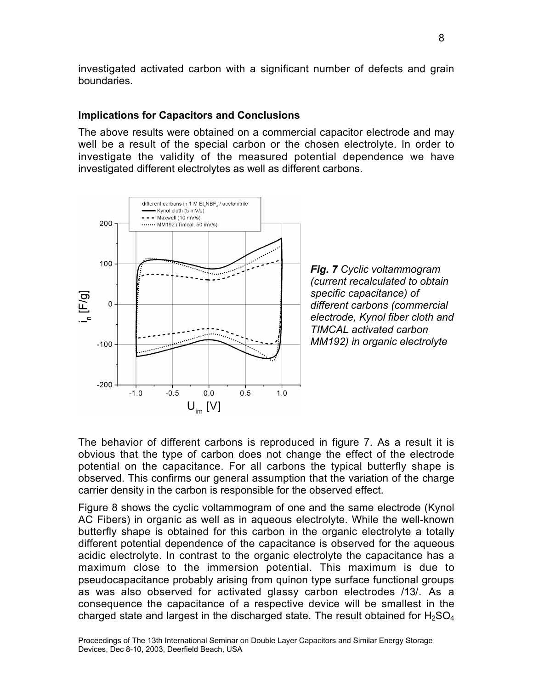investigated activated carbon with a significant number of defects and grain boundaries.

### **Implications for Capacitors and Conclusions**

The above results were obtained on a commercial capacitor electrode and may well be a result of the special carbon or the chosen electrolyte. In order to investigate the validity of the measured potential dependence we have investigated different electrolytes as well as different carbons.



*Fig. 7 Cyclic voltammogram (current recalculated to obtain specific capacitance) of different carbons (commercial electrode, Kynol fiber cloth and TIMCAL activated carbon MM192) in organic electrolyte*

The behavior of different carbons is reproduced in figure 7. As a result it is obvious that the type of carbon does not change the effect of the electrode potential on the capacitance. For all carbons the typical butterfly shape is observed. This confirms our general assumption that the variation of the charge carrier density in the carbon is responsible for the observed effect.

Figure 8 shows the cyclic voltammogram of one and the same electrode (Kynol AC Fibers) in organic as well as in aqueous electrolyte. While the well-known butterfly shape is obtained for this carbon in the organic electrolyte a totally different potential dependence of the capacitance is observed for the aqueous acidic electrolyte. In contrast to the organic electrolyte the capacitance has a maximum close to the immersion potential. This maximum is due to pseudocapacitance probably arising from quinon type surface functional groups as was also observed for activated glassy carbon electrodes /13/. As a consequence the capacitance of a respective device will be smallest in the charged state and largest in the discharged state. The result obtained for  $H_2SO_4$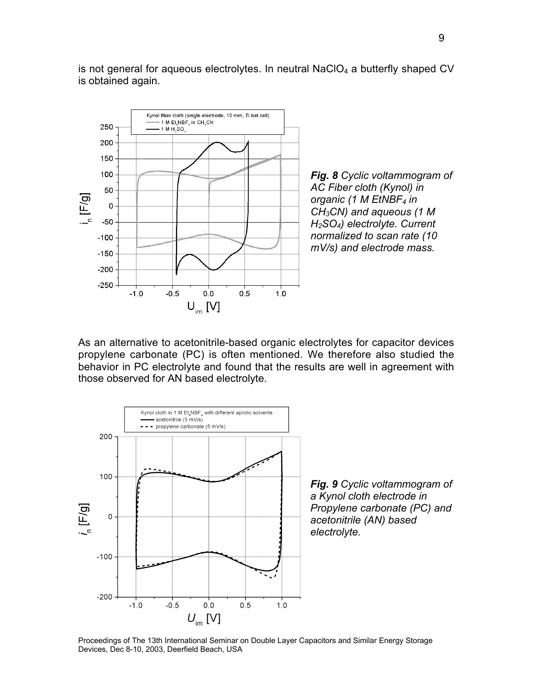

is not general for aqueous electrolytes. In neutral NaCIO $_4$  a butterfly shaped CV is obtained again.

As an alternative to acetonitrile-based organic electrolytes for capacitor devices propylene carbonate (PC) is often mentioned. We therefore also studied the behavior in PC electrolyte and found that the results are well in agreement with those observed for AN based electrolyte.



*Fig. 9 Cyclic voltammogram of a Kynol cloth electrode in Propylene carbonate (PC) and acetonitrile (AN) based electrolyte.*

Proceedings of The 13th International Seminar on Double Layer Capacitors and Similar Energy Storage Devices, Dec 8-10, 2003, Deerfield Beach, USA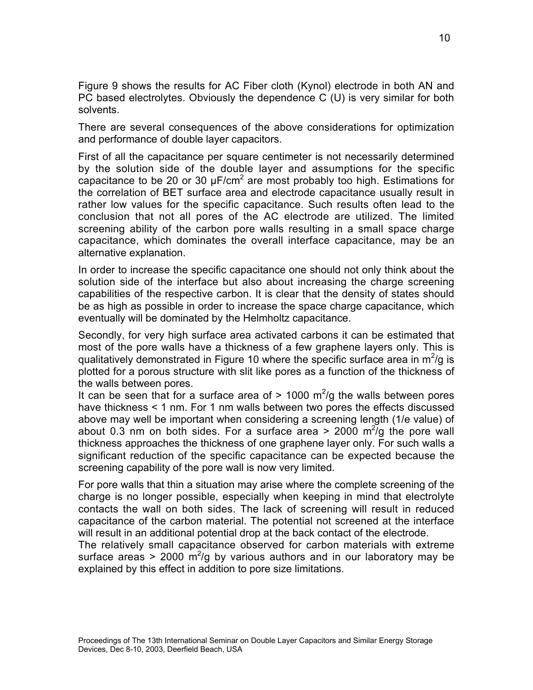Figure 9 shows the results for AC Fiber cloth (Kynol) electrode in both AN and PC based electrolytes. Obviously the dependence C (U) is very similar for both solvents.

There are several consequences of the above considerations for optimization and performance of double layer capacitors.

First of all the capacitance per square centimeter is not necessarily determined by the solution side of the double layer and assumptions for the specific capacitance to be 20 or 30  $\mu$ F/cm<sup>2</sup> are most probably too high. Estimations for the correlation of BET surface area and electrode capacitance usually result in rather low values for the specific capacitance. Such results often lead to the conclusion that not all pores of the AC electrode are utilized. The limited screening ability of the carbon pore walls resulting in a small space charge capacitance, which dominates the overall interface capacitance, may be an alternative explanation.

In order to increase the specific capacitance one should not only think about the solution side of the interface but also about increasing the charge screening capabilities of the respective carbon. It is clear that the density of states should be as high as possible in order to increase the space charge capacitance, which eventually will be dominated by the Helmholtz capacitance.

Secondly, for very high surface area activated carbons it can be estimated that most of the pore walls have a thickness of a few graphene layers only. This is qualitatively demonstrated in Figure 10 where the specific surface area in  $m^2$ /g is plotted for a porous structure with slit like pores as a function of the thickness of the walls between pores.

It can be seen that for a surface area of  $> 1000$  m<sup>2</sup>/g the walls between pores have thickness < 1 nm. For 1 nm walls between two pores the effects discussed above may well be important when considering a screening length (1/e value) of about 0.3 nm on both sides. For a surface area  $>$  2000 m $^{2}/g$  the pore wall thickness approaches the thickness of one graphene layer only. For such walls a significant reduction of the specific capacitance can be expected because the screening capability of the pore wall is now very limited.

For pore walls that thin a situation may arise where the complete screening of the charge is no longer possible, especially when keeping in mind that electrolyte contacts the wall on both sides. The lack of screening will result in reduced capacitance of the carbon material. The potential not screened at the interface will result in an additional potential drop at the back contact of the electrode.

The relatively small capacitance observed for carbon materials with extreme surface areas > 2000  $\mathrm{m}^2/\mathrm{g}$  by various authors and in our laboratory may be explained by this effect in addition to pore size limitations.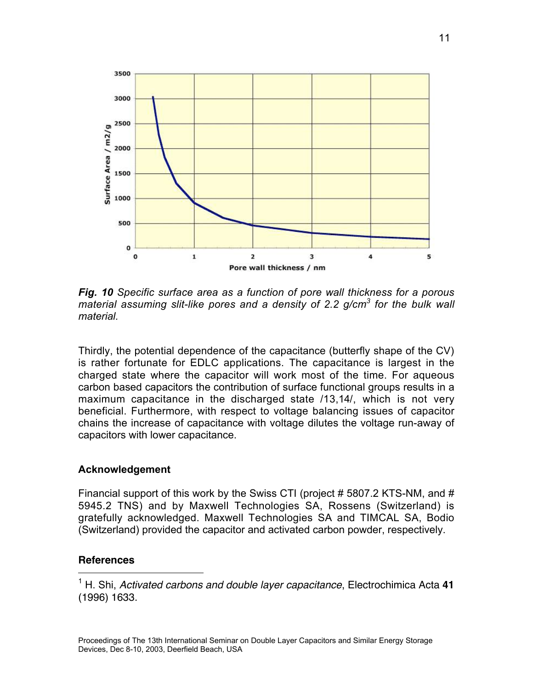

*Fig. 10 Specific surface area as a function of pore wall thickness for a porous material assuming slit-like pores and a density of 2.2 g/cm<sup>3</sup> for the bulk wall material.*

Thirdly, the potential dependence of the capacitance (butterfly shape of the CV) is rather fortunate for EDLC applications. The capacitance is largest in the charged state where the capacitor will work most of the time. For aqueous carbon based capacitors the contribution of surface functional groups results in a maximum capacitance in the discharged state /13,14/, which is not very beneficial. Furthermore, with respect to voltage balancing issues of capacitor chains the increase of capacitance with voltage dilutes the voltage run-away of capacitors with lower capacitance.

#### **Acknowledgement**

Financial support of this work by the Swiss CTI (project # 5807.2 KTS-NM, and # 5945.2 TNS) and by Maxwell Technologies SA, Rossens (Switzerland) is gratefully acknowledged. Maxwell Technologies SA and TIMCAL SA, Bodio (Switzerland) provided the capacitor and activated carbon powder, respectively.

#### **References**

<sup>1</sup> H. Shi, Activated carbons and double layer capacitance, Electrochimica Acta **<sup>41</sup>** (1996) 1633.